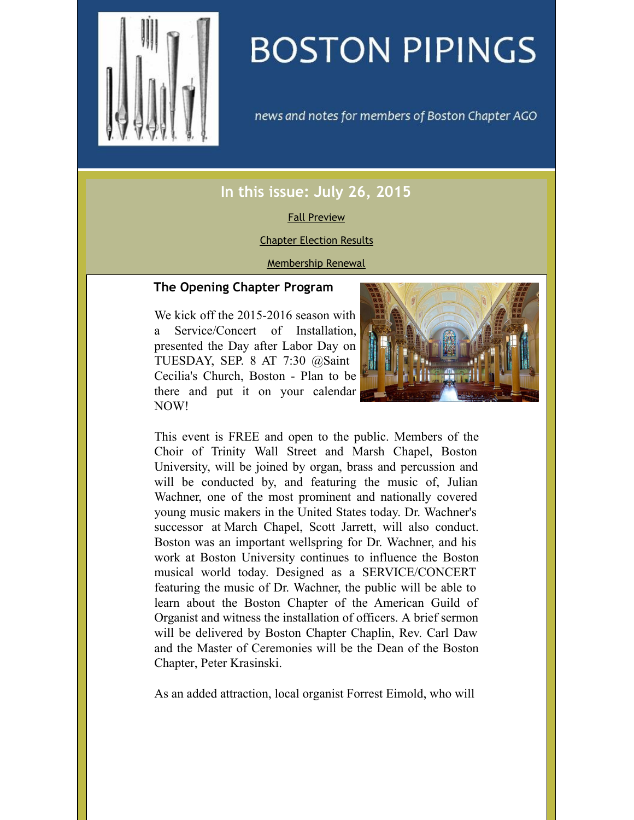<span id="page-0-0"></span>

# **BOSTON PIPINGS**

news and notes for members of Boston Chapter AGO

# **In this issue: July 26, 2015**

### Fall [Preview](#page-0-0)

#### Chapter [Election](#page-0-0) Results

#### [Membership](#page-0-0) Renewal

# **The Opening Chapter Program**

We kick off the 2015-2016 season with a Service/Concert of Installation, presented the Day after Labor Day on TUESDAY, SEP. 8 AT 7:30 @Saint Cecilia's Church, Boston - Plan to be there and put it on your calendar NOW!



This event is FREE and open to the public. Members of the Choir of Trinity Wall Street and Marsh Chapel, Boston University, will be joined by organ, brass and percussion and will be conducted by, and featuring the music of, Julian Wachner, one of the most prominent and nationally covered young music makers in the United States today. Dr. Wachner's successor at March Chapel, Scott Jarrett, will also conduct. Boston was an important wellspring for Dr. Wachner, and his work at Boston University continues to influence the Boston musical world today. Designed as a SERVICE/CONCERT featuring the music of Dr. Wachner, the public will be able to learn about the Boston Chapter of the American Guild of Organist and witness the installation of officers. A brief sermon will be delivered by Boston Chapter Chaplin, Rev. Carl Daw and the Master of Ceremonies will be the Dean of the Boston Chapter, Peter Krasinski.

As an added attraction, local organist Forrest Eimold, who will